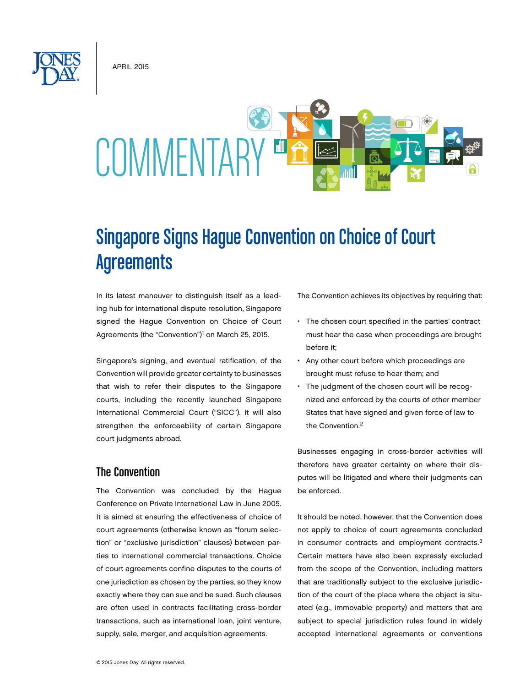**APRIL 2015** 



# Singapore Signs Hague Convention on Choice of Court **Agreements**

In its latest maneuver to distinguish itself as a leading hub for international dispute resolution, Singapore signed the Hague Convention on Choice of Court Agreements (the "Convention")<sup>1</sup> on March 25, 2015.

Singapore's signing, and eventual ratification, of the Convention will provide greater certainty to businesses that wish to refer their disputes to the Singapore courts, including the recently launched Singapore International Commercial Court ("SICC"). It will also strengthen the enforceability of certain Singapore court judgments abroad.

### The Convention

The Convention was concluded by the Hague Conference on Private International Law in June 2005. It is aimed at ensuring the effectiveness of choice of court agreements (otherwise known as "forum selection" or "exclusive jurisdiction" clauses) between parties to international commercial transactions. Choice of court agreements confine disputes to the courts of one jurisdiction as chosen by the parties, so they know exactly where they can sue and be sued. Such clauses are often used in contracts facilitating cross-border transactions, such as international loan, joint venture, supply, sale, merger, and acquisition agreements.

The Convention achieves its objectives by requiring that:

- The chosen court specified in the parties' contract must hear the case when proceedings are brought before it;
- • Any other court before which proceedings are brought must refuse to hear them; and
- The judgment of the chosen court will be recognized and enforced by the courts of other member States that have signed and given force of law to the Convention.<sup>2</sup>

Businesses engaging in cross-border activities will therefore have greater certainty on where their disputes will be litigated and where their judgments can be enforced.

It should be noted, however, that the Convention does not apply to choice of court agreements concluded in consumer contracts and employment contracts.<sup>3</sup> Certain matters have also been expressly excluded from the scope of the Convention, including matters that are traditionally subject to the exclusive jurisdiction of the court of the place where the object is situated (e.g., immovable property) and matters that are subject to special jurisdiction rules found in widely accepted international agreements or conventions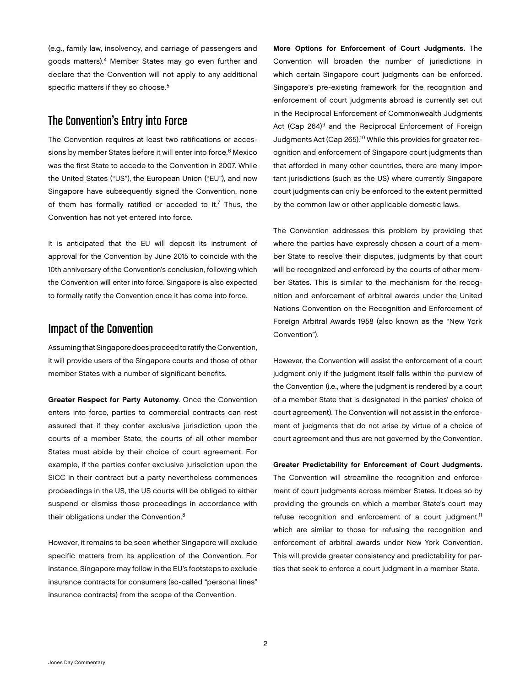(e.g., family law, insolvency, and carriage of passengers and goods matters).4 Member States may go even further and declare that the Convention will not apply to any additional specific matters if they so choose.<sup>5</sup>

## The Convention's Entry into Force

The Convention requires at least two ratifications or accessions by member States before it will enter into force.<sup>6</sup> Mexico was the first State to accede to the Convention in 2007. While the United States ("US"), the European Union ("EU"), and now Singapore have subsequently signed the Convention, none of them has formally ratified or acceded to it.<sup>7</sup> Thus, the Convention has not yet entered into force.

It is anticipated that the EU will deposit its instrument of approval for the Convention by June 2015 to coincide with the 10th anniversary of the Convention's conclusion, following which the Convention will enter into force. Singapore is also expected to formally ratify the Convention once it has come into force.

#### Impact of the Convention

Assuming that Singapore does proceed to ratify the Convention, it will provide users of the Singapore courts and those of other member States with a number of significant benefits.

Greater Respect for Party Autonomy. Once the Convention enters into force, parties to commercial contracts can rest assured that if they confer exclusive jurisdiction upon the courts of a member State, the courts of all other member States must abide by their choice of court agreement. For example, if the parties confer exclusive jurisdiction upon the SICC in their contract but a party nevertheless commences proceedings in the US, the US courts will be obliged to either suspend or dismiss those proceedings in accordance with their obligations under the Convention.<sup>8</sup>

However, it remains to be seen whether Singapore will exclude specific matters from its application of the Convention. For instance, Singapore may follow in the EU's footsteps to exclude insurance contracts for consumers (so-called "personal lines" insurance contracts) from the scope of the Convention.

More Options for Enforcement of Court Judgments. The Convention will broaden the number of jurisdictions in which certain Singapore court judgments can be enforced. Singapore's pre-existing framework for the recognition and enforcement of court judgments abroad is currently set out in the Reciprocal Enforcement of Commonwealth Judgments Act (Cap 264)<sup>9</sup> and the Reciprocal Enforcement of Foreign Judgments Act (Cap 265).10 While this provides for greater recognition and enforcement of Singapore court judgments than that afforded in many other countries, there are many important jurisdictions (such as the US) where currently Singapore court judgments can only be enforced to the extent permitted by the common law or other applicable domestic laws.

The Convention addresses this problem by providing that where the parties have expressly chosen a court of a member State to resolve their disputes, judgments by that court will be recognized and enforced by the courts of other member States. This is similar to the mechanism for the recognition and enforcement of arbitral awards under the United Nations Convention on the Recognition and Enforcement of Foreign Arbitral Awards 1958 (also known as the "New York Convention").

However, the Convention will assist the enforcement of a court judgment only if the judgment itself falls within the purview of the Convention (i.e., where the judgment is rendered by a court of a member State that is designated in the parties' choice of court agreement). The Convention will not assist in the enforcement of judgments that do not arise by virtue of a choice of court agreement and thus are not governed by the Convention.

Greater Predictability for Enforcement of Court Judgments. The Convention will streamline the recognition and enforcement of court judgments across member States. It does so by providing the grounds on which a member State's court may refuse recognition and enforcement of a court judgment, $11$ which are similar to those for refusing the recognition and enforcement of arbitral awards under New York Convention. This will provide greater consistency and predictability for parties that seek to enforce a court judgment in a member State.